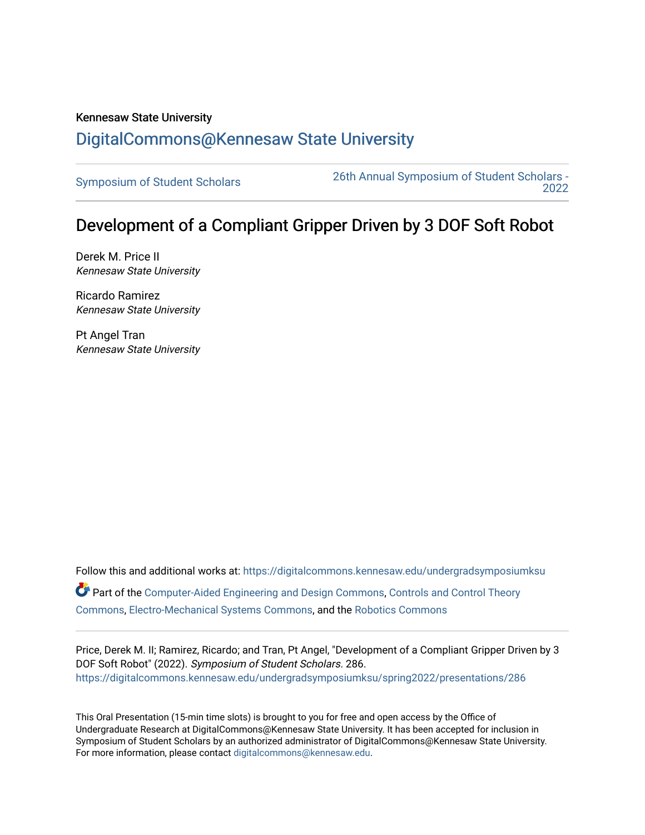## Kennesaw State University [DigitalCommons@Kennesaw State University](https://digitalcommons.kennesaw.edu/)

[Symposium of Student Scholars](https://digitalcommons.kennesaw.edu/undergradsymposiumksu) [26th Annual Symposium of Student Scholars -](https://digitalcommons.kennesaw.edu/undergradsymposiumksu/spring2022)  [2022](https://digitalcommons.kennesaw.edu/undergradsymposiumksu/spring2022) 

## Development of a Compliant Gripper Driven by 3 DOF Soft Robot

Derek M. Price II Kennesaw State University

Ricardo Ramirez Kennesaw State University

Pt Angel Tran Kennesaw State University

Follow this and additional works at: [https://digitalcommons.kennesaw.edu/undergradsymposiumksu](https://digitalcommons.kennesaw.edu/undergradsymposiumksu?utm_source=digitalcommons.kennesaw.edu%2Fundergradsymposiumksu%2Fspring2022%2Fpresentations%2F286&utm_medium=PDF&utm_campaign=PDFCoverPages)  **C** Part of the [Computer-Aided Engineering and Design Commons](http://network.bepress.com/hgg/discipline/297?utm_source=digitalcommons.kennesaw.edu%2Fundergradsymposiumksu%2Fspring2022%2Fpresentations%2F286&utm_medium=PDF&utm_campaign=PDFCoverPages), [Controls and Control Theory](http://network.bepress.com/hgg/discipline/269?utm_source=digitalcommons.kennesaw.edu%2Fundergradsymposiumksu%2Fspring2022%2Fpresentations%2F286&utm_medium=PDF&utm_campaign=PDFCoverPages) [Commons](http://network.bepress.com/hgg/discipline/269?utm_source=digitalcommons.kennesaw.edu%2Fundergradsymposiumksu%2Fspring2022%2Fpresentations%2F286&utm_medium=PDF&utm_campaign=PDFCoverPages), [Electro-Mechanical Systems Commons,](http://network.bepress.com/hgg/discipline/298?utm_source=digitalcommons.kennesaw.edu%2Fundergradsymposiumksu%2Fspring2022%2Fpresentations%2F286&utm_medium=PDF&utm_campaign=PDFCoverPages) and the [Robotics Commons](http://network.bepress.com/hgg/discipline/264?utm_source=digitalcommons.kennesaw.edu%2Fundergradsymposiumksu%2Fspring2022%2Fpresentations%2F286&utm_medium=PDF&utm_campaign=PDFCoverPages) 

Price, Derek M. II; Ramirez, Ricardo; and Tran, Pt Angel, "Development of a Compliant Gripper Driven by 3 DOF Soft Robot" (2022). Symposium of Student Scholars. 286. [https://digitalcommons.kennesaw.edu/undergradsymposiumksu/spring2022/presentations/286](https://digitalcommons.kennesaw.edu/undergradsymposiumksu/spring2022/presentations/286?utm_source=digitalcommons.kennesaw.edu%2Fundergradsymposiumksu%2Fspring2022%2Fpresentations%2F286&utm_medium=PDF&utm_campaign=PDFCoverPages)

This Oral Presentation (15-min time slots) is brought to you for free and open access by the Office of Undergraduate Research at DigitalCommons@Kennesaw State University. It has been accepted for inclusion in Symposium of Student Scholars by an authorized administrator of DigitalCommons@Kennesaw State University. For more information, please contact [digitalcommons@kennesaw.edu.](mailto:digitalcommons@kennesaw.edu)